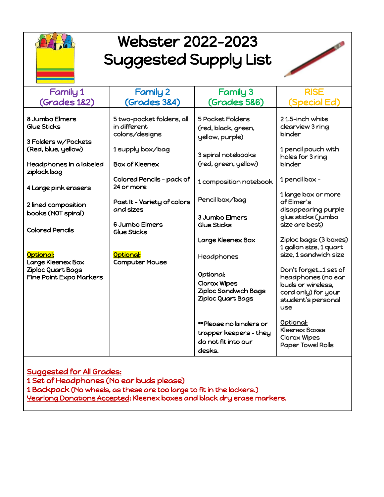

## Webster 2022-2023 Suggested Supply List



| <b>Family 1</b>                                             | <b>Family 2</b>                                             | <b>Family 3</b>                                                                   | <b>RISE</b>                                                                                                                |
|-------------------------------------------------------------|-------------------------------------------------------------|-----------------------------------------------------------------------------------|----------------------------------------------------------------------------------------------------------------------------|
| <b>(Grades 182)</b>                                         | <b>(Grades 384)</b>                                         | <b>(Grades 5&amp;6)</b>                                                           | (Special Ed)                                                                                                               |
| 8 Jumbo Elmers<br><b>Glue Sticks</b><br>3 Folders w/Pockets | 5 two-pocket folders, all<br>in different<br>colors/designs | <b>5 Pocket Folders</b><br>(red, black, green,<br>yellow, purple)                 | 21.5-inch white<br>clearview 3 ring<br>binder                                                                              |
| (Red, blue, yellow)                                         | 1 supply box/bag                                            | 3 spiral notebooks                                                                | 1 pencil pouch with<br>holes for 3 ring                                                                                    |
| Headphones in a labeled<br>ziplock bag                      | <b>Box of Kleenex</b>                                       | (red, green, yellow)                                                              | binder                                                                                                                     |
| 4 Large pink erasers                                        | Colored Pencils - pack of<br>24 or more                     | 1 composition notebook                                                            | 1 pencil box -                                                                                                             |
| 2 lined composition                                         | Post It - Variety of colors<br>and sizes                    | Pencil box/bag                                                                    | 1 large box or more<br>of Elmer's<br>disappearing purple                                                                   |
| books (NOT spiral)<br><b>Colored Pencils</b>                | 6 Jumbo Elmers<br>Glue Sticks                               | 3 Jumbo Elmers<br>Glue Sticks                                                     | glue sticks (jumbo<br>size are best)                                                                                       |
|                                                             |                                                             | Large Kleenex Box                                                                 | Ziploc bags: (3 boxes)<br>1 gallon size, 1 quart                                                                           |
| Optional:<br>Large Kleenex Box                              | Optional:<br><b>Computer Mouse</b>                          | Headphones                                                                        | size. 1 sandwich size                                                                                                      |
| Ziploc Quart Bags<br><b>Fine Point Expo Markers</b>         |                                                             | Optional:<br>Clorox Wipes<br><b>Ziploc Sandwich Bags</b><br>Ziploc Quart Bags     | Don't forget1 set of<br>headphones (no ear<br>buds or wireless,<br>cord only) for your<br>student's personal<br><b>use</b> |
|                                                             |                                                             | **Please no binders or<br>trapper keepers - they<br>do not fit into our<br>desks. | Optional:<br><b>Kleenex Boxes</b><br><b>Clorox Wipes</b><br><b>Paper Towel Rolls</b>                                       |
|                                                             |                                                             |                                                                                   |                                                                                                                            |

Suggested for All Grades:

1 Set of Headphones (No ear buds please)

1 Backpack (No wheels, as these are too large to fit in the lockers.)

Yearlong Donations Accepted: Kleenex boxes and black dry erase markers.